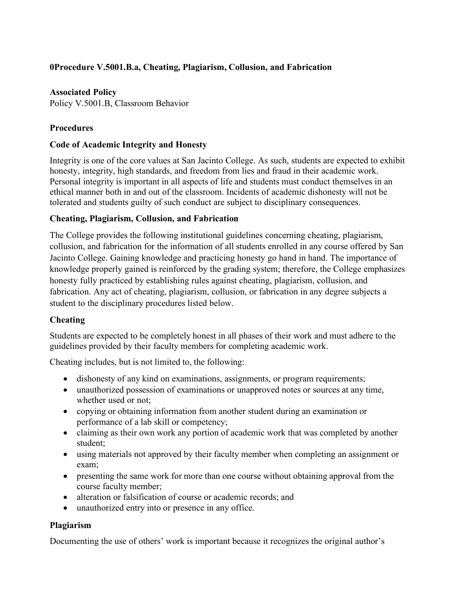# **0Procedure V.5001.B.a, Cheating, Plagiarism, Collusion, and Fabrication**

### **Associated Policy**

Policy V.5001.B, Classroom Behavior

### **Procedures**

### **Code of Academic Integrity and Honesty**

Integrity is one of the core values at San Jacinto College. As such, students are expected to exhibit honesty, integrity, high standards, and freedom from lies and fraud in their academic work. Personal integrity is important in all aspects of life and students must conduct themselves in an ethical manner both in and out of the classroom. Incidents of academic dishonesty will not be tolerated and students guilty of such conduct are subject to disciplinary consequences.

#### **Cheating, Plagiarism, Collusion, and Fabrication**

The College provides the following institutional guidelines concerning cheating, plagiarism, collusion, and fabrication for the information of all students enrolled in any course offered by San Jacinto College. Gaining knowledge and practicing honesty go hand in hand. The importance of knowledge properly gained is reinforced by the grading system; therefore, the College emphasizes honesty fully practiced by establishing rules against cheating, plagiarism, collusion, and fabrication. Any act of cheating, plagiarism, collusion, or fabrication in any degree subjects a student to the disciplinary procedures listed below.

### **Cheating**

Students are expected to be completely honest in all phases of their work and must adhere to the guidelines provided by their faculty members for completing academic work.

Cheating includes, but is not limited to, the following:

- dishonesty of any kind on examinations, assignments, or program requirements;
- unauthorized possession of examinations or unapproved notes or sources at any time, whether used or not;
- copying or obtaining information from another student during an examination or performance of a lab skill or competency;
- claiming as their own work any portion of academic work that was completed by another student;
- using materials not approved by their faculty member when completing an assignment or exam;
- presenting the same work for more than one course without obtaining approval from the course faculty member;
- alteration or falsification of course or academic records; and
- unauthorized entry into or presence in any office.

### **Plagiarism**

Documenting the use of others' work is important because it recognizes the original author's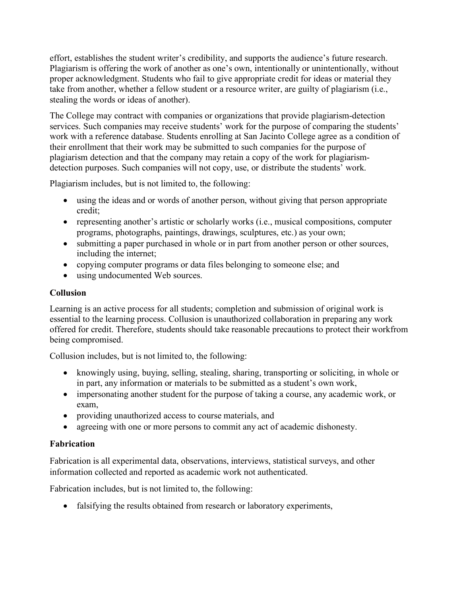effort, establishes the student writer's credibility, and supports the audience's future research. Plagiarism is offering the work of another as one's own, intentionally or unintentionally, without proper acknowledgment. Students who fail to give appropriate credit for ideas or material they take from another, whether a fellow student or a resource writer, are guilty of plagiarism (i.e., stealing the words or ideas of another).

The College may contract with companies or organizations that provide plagiarism-detection services. Such companies may receive students' work for the purpose of comparing the students' work with a reference database. Students enrolling at San Jacinto College agree as a condition of their enrollment that their work may be submitted to such companies for the purpose of plagiarism detection and that the company may retain a copy of the work for plagiarismdetection purposes. Such companies will not copy, use, or distribute the students' work.

Plagiarism includes, but is not limited to, the following:

- using the ideas and or words of another person, without giving that person appropriate credit;
- representing another's artistic or scholarly works (i.e., musical compositions, computer programs, photographs, paintings, drawings, sculptures, etc.) as your own;
- submitting a paper purchased in whole or in part from another person or other sources, including the internet;
- copying computer programs or data files belonging to someone else; and
- using undocumented Web sources.

# **Collusion**

Learning is an active process for all students; completion and submission of original work is essential to the learning process. Collusion is unauthorized collaboration in preparing any work offered for credit. Therefore, students should take reasonable precautions to protect their workfrom being compromised.

Collusion includes, but is not limited to, the following:

- knowingly using, buying, selling, stealing, sharing, transporting or soliciting, in whole or in part, any information or materials to be submitted as a student's own work,
- impersonating another student for the purpose of taking a course, any academic work, or exam,
- providing unauthorized access to course materials, and
- agreeing with one or more persons to commit any act of academic dishonesty.

# **Fabrication**

Fabrication is all experimental data, observations, interviews, statistical surveys, and other information collected and reported as academic work not authenticated.

Fabrication includes, but is not limited to, the following:

• falsifying the results obtained from research or laboratory experiments,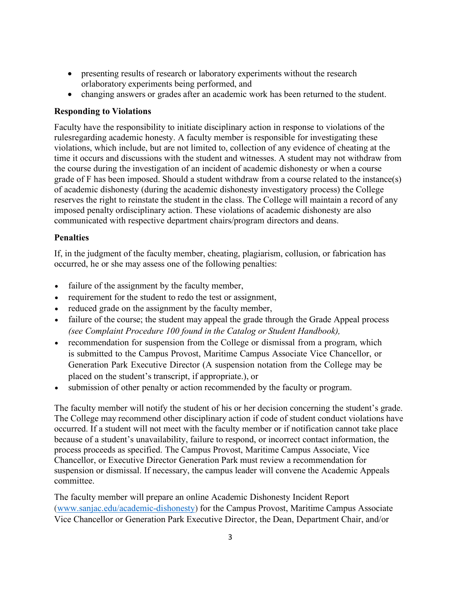- presenting results of research or laboratory experiments without the research orlaboratory experiments being performed, and
- changing answers or grades after an academic work has been returned to the student.

#### **Responding to Violations**

Faculty have the responsibility to initiate disciplinary action in response to violations of the rulesregarding academic honesty. A faculty member is responsible for investigating these violations, which include, but are not limited to, collection of any evidence of cheating at the time it occurs and discussions with the student and witnesses. A student may not withdraw from the course during the investigation of an incident of academic dishonesty or when a course grade of F has been imposed. Should a student withdraw from a course related to the instance(s) of academic dishonesty (during the academic dishonesty investigatory process) the College reserves the right to reinstate the student in the class. The College will maintain a record of any imposed penalty ordisciplinary action. These violations of academic dishonesty are also communicated with respective department chairs/program directors and deans.

#### **Penalties**

If, in the judgment of the faculty member, cheating, plagiarism, collusion, or fabrication has occurred, he or she may assess one of the following penalties:

- failure of the assignment by the faculty member,
- requirement for the student to redo the test or assignment,
- reduced grade on the assignment by the faculty member,
- failure of the course; the student may appeal the grade through the Grade Appeal process *(see Complaint Procedure 100 found in the Catalog or Student Handbook),*
- recommendation for suspension from the College or dismissal from a program, which is submitted to the Campus Provost, Maritime Campus Associate Vice Chancellor, or Generation Park Executive Director (A suspension notation from the College may be placed on the student's transcript, if appropriate.), or
- submission of other penalty or action recommended by the faculty or program.

The faculty member will notify the student of his or her decision concerning the student's grade. The College may recommend other disciplinary action if code of student conduct violations have occurred. If a student will not meet with the faculty member or if notification cannot take place because of a student's unavailability, failure to respond, or incorrect contact information, the process proceeds as specified. The Campus Provost, Maritime Campus Associate, Vice Chancellor, or Executive Director Generation Park must review a recommendation for suspension or dismissal. If necessary, the campus leader will convene the Academic Appeals committee.

The faculty member will prepare an online Academic Dishonesty Incident Report (www.sanjac.edu/academic-dishonesty) for the Campus Provost, Maritime Campus Associate Vice Chancellor or Generation Park Executive Director, the Dean, Department Chair, and/or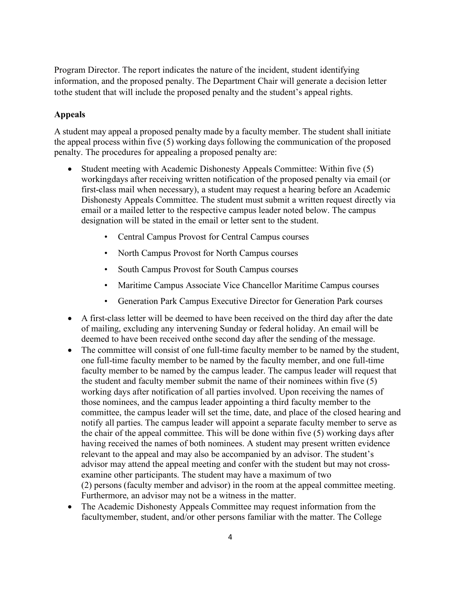Program Director. The report indicates the nature of the incident, student identifying information, and the proposed penalty. The Department Chair will generate a decision letter tothe student that will include the proposed penalty and the student's appeal rights.

#### **Appeals**

A student may appeal a proposed penalty made by a faculty member. The student shall initiate the appeal process within five (5) working days following the communication of the proposed penalty. The procedures for appealing a proposed penalty are:

- Student meeting with Academic Dishonesty Appeals Committee: Within five (5) workingdays after receiving written notification of the proposed penalty via email (or first-class mail when necessary), a student may request a hearing before an Academic Dishonesty Appeals Committee. The student must submit a written request directly via email or a mailed letter to the respective campus leader noted below. The campus designation will be stated in the email or letter sent to the student.
	- Central Campus Provost for Central Campus courses
	- North Campus Provost for North Campus courses
	- South Campus Provost for South Campus courses
	- Maritime Campus Associate Vice Chancellor Maritime Campus courses
	- Generation Park Campus Executive Director for Generation Park courses
- A first-class letter will be deemed to have been received on the third day after the date of mailing, excluding any intervening Sunday or federal holiday. An email will be deemed to have been received onthe second day after the sending of the message.
- The committee will consist of one full-time faculty member to be named by the student, one full-time faculty member to be named by the faculty member, and one full-time faculty member to be named by the campus leader. The campus leader will request that the student and faculty member submit the name of their nominees within five (5) working days after notification of all parties involved. Upon receiving the names of those nominees, and the campus leader appointing a third faculty member to the committee, the campus leader will set the time, date, and place of the closed hearing and notify all parties. The campus leader will appoint a separate faculty member to serve as the chair of the appeal committee. This will be done within five (5) working days after having received the names of both nominees. A student may present written evidence relevant to the appeal and may also be accompanied by an advisor. The student's advisor may attend the appeal meeting and confer with the student but may not crossexamine other participants. The student may have a maximum of two (2) persons (faculty member and advisor) in the room at the appeal committee meeting. Furthermore, an advisor may not be a witness in the matter.
- The Academic Dishonesty Appeals Committee may request information from the facultymember, student, and/or other persons familiar with the matter. The College